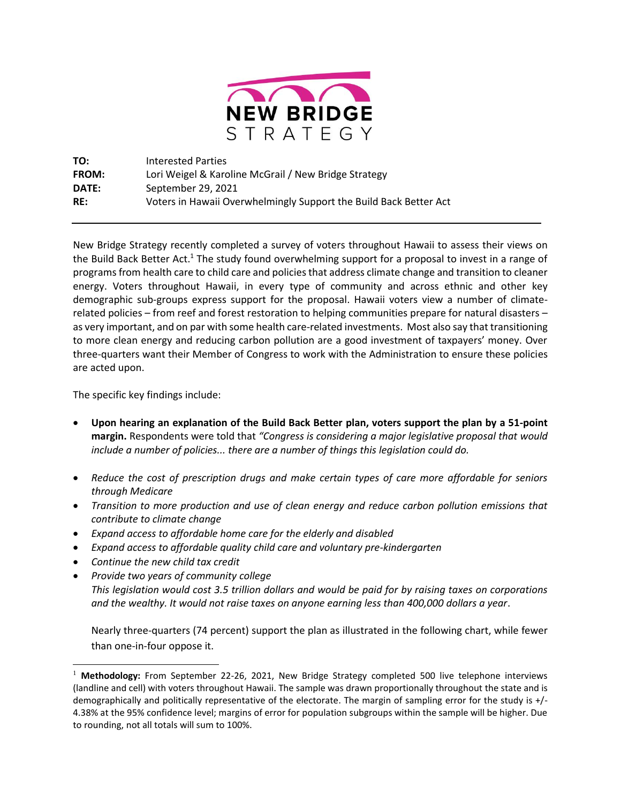

| TO:          | <b>Interested Parties</b>                                         |
|--------------|-------------------------------------------------------------------|
| <b>FROM:</b> | Lori Weigel & Karoline McGrail / New Bridge Strategy              |
| DATE:        | September 29, 2021                                                |
| RE:          | Voters in Hawaii Overwhelmingly Support the Build Back Better Act |

New Bridge Strategy recently completed a survey of voters throughout Hawaii to assess their views on the Build Back Better Act.<sup>1</sup> The study found overwhelming support for a proposal to invest in a range of programs from health care to child care and policies that address climate change and transition to cleaner energy. Voters throughout Hawaii, in every type of community and across ethnic and other key demographic sub-groups express support for the proposal. Hawaii voters view a number of climaterelated policies – from reef and forest restoration to helping communities prepare for natural disasters – as very important, and on par with some health care-related investments. Most also say that transitioning to more clean energy and reducing carbon pollution are a good investment of taxpayers' money. Over three-quarters want their Member of Congress to work with the Administration to ensure these policies are acted upon.

The specific key findings include:

- **Upon hearing an explanation of the Build Back Better plan, voters support the plan by a 51-point margin.** Respondents were told that *"Congress is considering a major legislative proposal that would include a number of policies... there are a number of things this legislation could do.*
- *Reduce the cost of prescription drugs and make certain types of care more affordable for seniors through Medicare*
- *Transition to more production and use of clean energy and reduce carbon pollution emissions that contribute to climate change*
- *Expand access to affordable home care for the elderly and disabled*
- *Expand access to affordable quality child care and voluntary pre-kindergarten*
- *Continue the new child tax credit*
- *Provide two years of community college This legislation would cost 3.5 trillion dollars and would be paid for by raising taxes on corporations and the wealthy. It would not raise taxes on anyone earning less than 400,000 dollars a year*.

Nearly three-quarters (74 percent) support the plan as illustrated in the following chart, while fewer than one-in-four oppose it.

<sup>1</sup> **Methodology:** From September 22-26, 2021, New Bridge Strategy completed 500 live telephone interviews (landline and cell) with voters throughout Hawaii. The sample was drawn proportionally throughout the state and is demographically and politically representative of the electorate. The margin of sampling error for the study is +/- 4.38% at the 95% confidence level; margins of error for population subgroups within the sample will be higher. Due to rounding, not all totals will sum to 100%.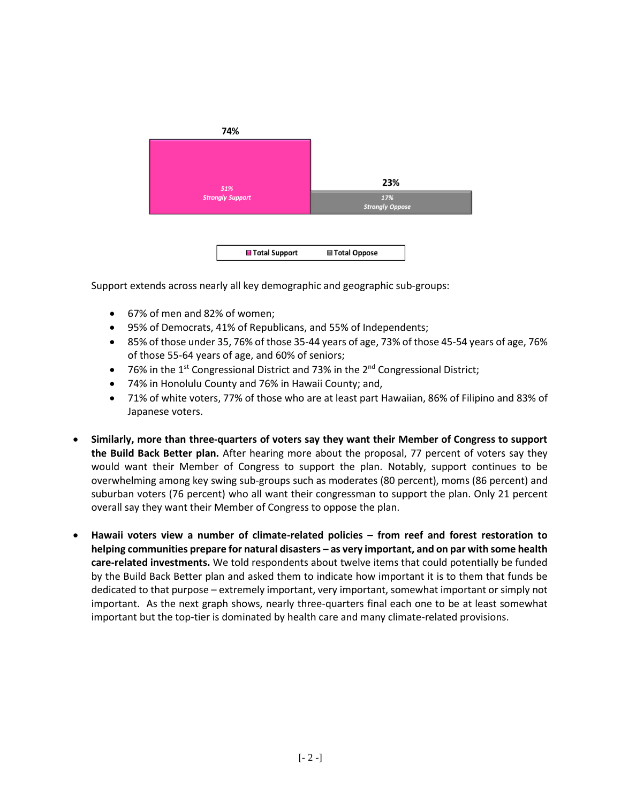

Support extends across nearly all key demographic and geographic sub-groups:

- 67% of men and 82% of women;
- 95% of Democrats, 41% of Republicans, and 55% of Independents;
- 85% of those under 35, 76% of those 35-44 years of age, 73% of those 45-54 years of age, 76% of those 55-64 years of age, and 60% of seniors;
- 76% in the 1<sup>st</sup> Congressional District and 73% in the  $2<sup>nd</sup>$  Congressional District;
- 74% in Honolulu County and 76% in Hawaii County; and,
- 71% of white voters, 77% of those who are at least part Hawaiian, 86% of Filipino and 83% of Japanese voters.
- **Similarly, more than three-quarters of voters say they want their Member of Congress to support the Build Back Better plan.** After hearing more about the proposal, 77 percent of voters say they would want their Member of Congress to support the plan. Notably, support continues to be overwhelming among key swing sub-groups such as moderates (80 percent), moms (86 percent) and suburban voters (76 percent) who all want their congressman to support the plan. Only 21 percent overall say they want their Member of Congress to oppose the plan.
- **Hawaii voters view a number of climate-related policies – from reef and forest restoration to helping communities prepare for natural disasters – as very important, and on par with some health care-related investments.** We told respondents about twelve items that could potentially be funded by the Build Back Better plan and asked them to indicate how important it is to them that funds be dedicated to that purpose – extremely important, very important, somewhat important or simply not important. As the next graph shows, nearly three-quarters final each one to be at least somewhat important but the top-tier is dominated by health care and many climate-related provisions.